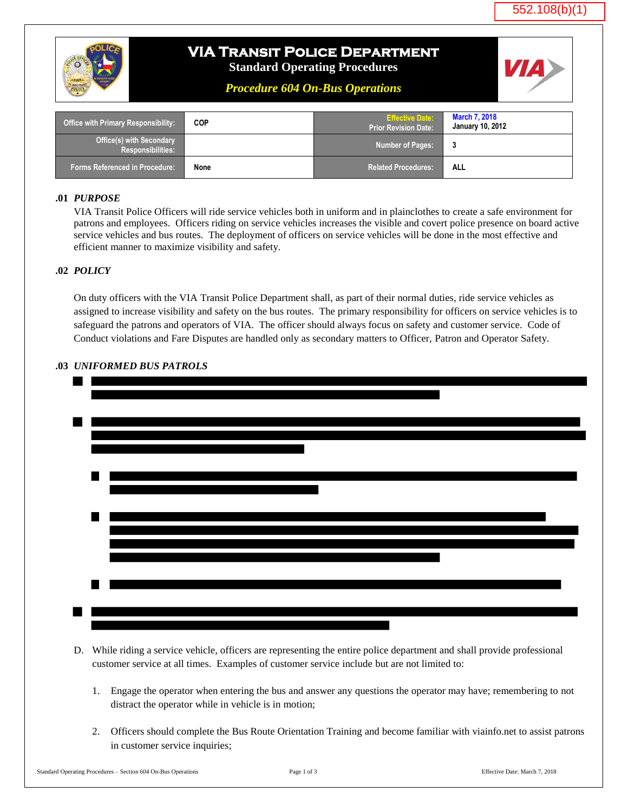

# **VIA Transit Police Department**

**Standard Operating Procedures**

*Procedure 604 On-Bus Operations*

| <b>Office with Primary Responsibility:</b>                  | <b>COP</b> | <b>Effective Date:</b><br><b>Prior Revision Date:</b> | <b>March 7, 2018</b><br><b>January 10, 2012</b> |
|-------------------------------------------------------------|------------|-------------------------------------------------------|-------------------------------------------------|
| <b>Office(s) with Secondary</b><br><b>Responsibilities:</b> |            | <b>Number of Pages:</b>                               | 3                                               |
| <b>Forms Referenced in Procedure:</b>                       | None       | <b>Related Procedures:</b>                            | <b>ALL</b>                                      |

#### **.01** *PURPOSE*

VIA Transit Police Officers will ride service vehicles both in uniform and in plainclothes to create a safe environment for patrons and employees. Officers riding on service vehicles increases the visible and covert police presence on board active service vehicles and bus routes. The deployment of officers on service vehicles will be done in the most effective and efficient manner to maximize visibility and safety.

### **.02** *POLICY*

On duty officers with the VIA Transit Police Department shall, as part of their normal duties, ride service vehicles as assigned to increase visibility and safety on the bus routes. The primary responsibility for officers on service vehicles is to safeguard the patrons and operators of VIA. The officer should always focus on safety and customer service. Code of Conduct violations and Fare Disputes are handled only as secondary matters to Officer, Patron and Operator Safety.



### **.03** *UNIFORMED BUS PATROLS*

- D. While riding a service vehicle, officers are representing the entire police department and shall provide professional customer service at all times. Examples of customer service include but are not limited to:
	- 1. Engage the operator when entering the bus and answer any questions the operator may have; remembering to not distract the operator while in vehicle is in motion;
	- 2. Officers should complete the Bus Route Orientation Training and become familiar with viainfo.net to assist patrons in customer service inquiries;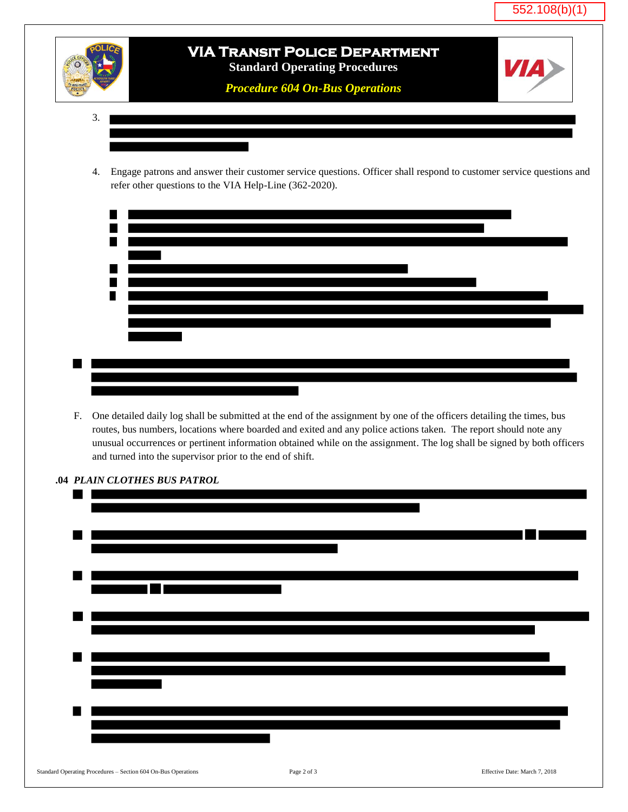

## **VIA Transit Police Department Standard Operating Procedures**

*Procedure 604 On-Bus Operations*

- 3.
- 4. Engage patrons and answer their customer service questions. Officer shall respond to customer service questions and refer other questions to the VIA Help-Line (362-2020).



F. One detailed daily log shall be submitted at the end of the assignment by one of the officers detailing the times, bus routes, bus numbers, locations where boarded and exited and any police actions taken. The report should note any unusual occurrences or pertinent information obtained while on the assignment. The log shall be signed by both officers and turned into the supervisor prior to the end of shift.